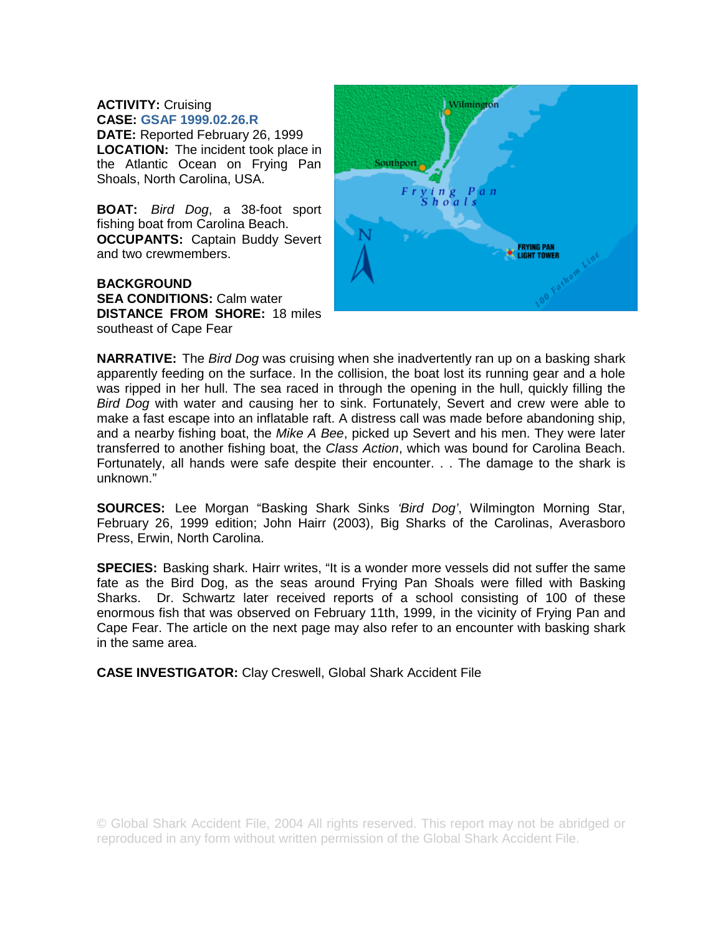## **ACTIVITY:** Cruising **CASE: GSAF 1999.02.26.R**

**DATE:** Reported February 26, 1999 **LOCATION:** The incident took place in the Atlantic Ocean on Frying Pan Shoals, North Carolina, USA.

**BOAT:** *Bird Dog*, a 38-foot sport fishing boat from Carolina Beach. **OCCUPANTS:** Captain Buddy Severt and two crewmembers.

**BACKGROUND SEA CONDITIONS: Calm water DISTANCE FROM SHORE:** 18 miles southeast of Cape Fear



**NARRATIVE:** The *Bird Dog* was cruising when she inadvertently ran up on a basking shark apparently feeding on the surface. In the collision, the boat lost its running gear and a hole was ripped in her hull. The sea raced in through the opening in the hull, quickly filling the *Bird Dog* with water and causing her to sink. Fortunately, Severt and crew were able to make a fast escape into an inflatable raft. A distress call was made before abandoning ship, and a nearby fishing boat, the *Mike A Bee*, picked up Severt and his men. They were later transferred to another fishing boat, the *Class Action*, which was bound for Carolina Beach. Fortunately, all hands were safe despite their encounter. . . The damage to the shark is unknown."

**SOURCES:** Lee Morgan "Basking Shark Sinks *'Bird Dog'*, Wilmington Morning Star, February 26, 1999 edition; John Hairr (2003), Big Sharks of the Carolinas, Averasboro Press, Erwin, North Carolina.

**SPECIES:** Basking shark. Hairr writes, "It is a wonder more vessels did not suffer the same fate as the Bird Dog, as the seas around Frying Pan Shoals were filled with Basking Sharks. Dr. Schwartz later received reports of a school consisting of 100 of these enormous fish that was observed on February 11th, 1999, in the vicinity of Frying Pan and Cape Fear. The article on the next page may also refer to an encounter with basking shark in the same area.

**CASE INVESTIGATOR:** Clay Creswell, Global Shark Accident File

© Global Shark Accident File, 2004 All rights reserved. This report may not be abridged or reproduced in any form without written permission of the Global Shark Accident File.